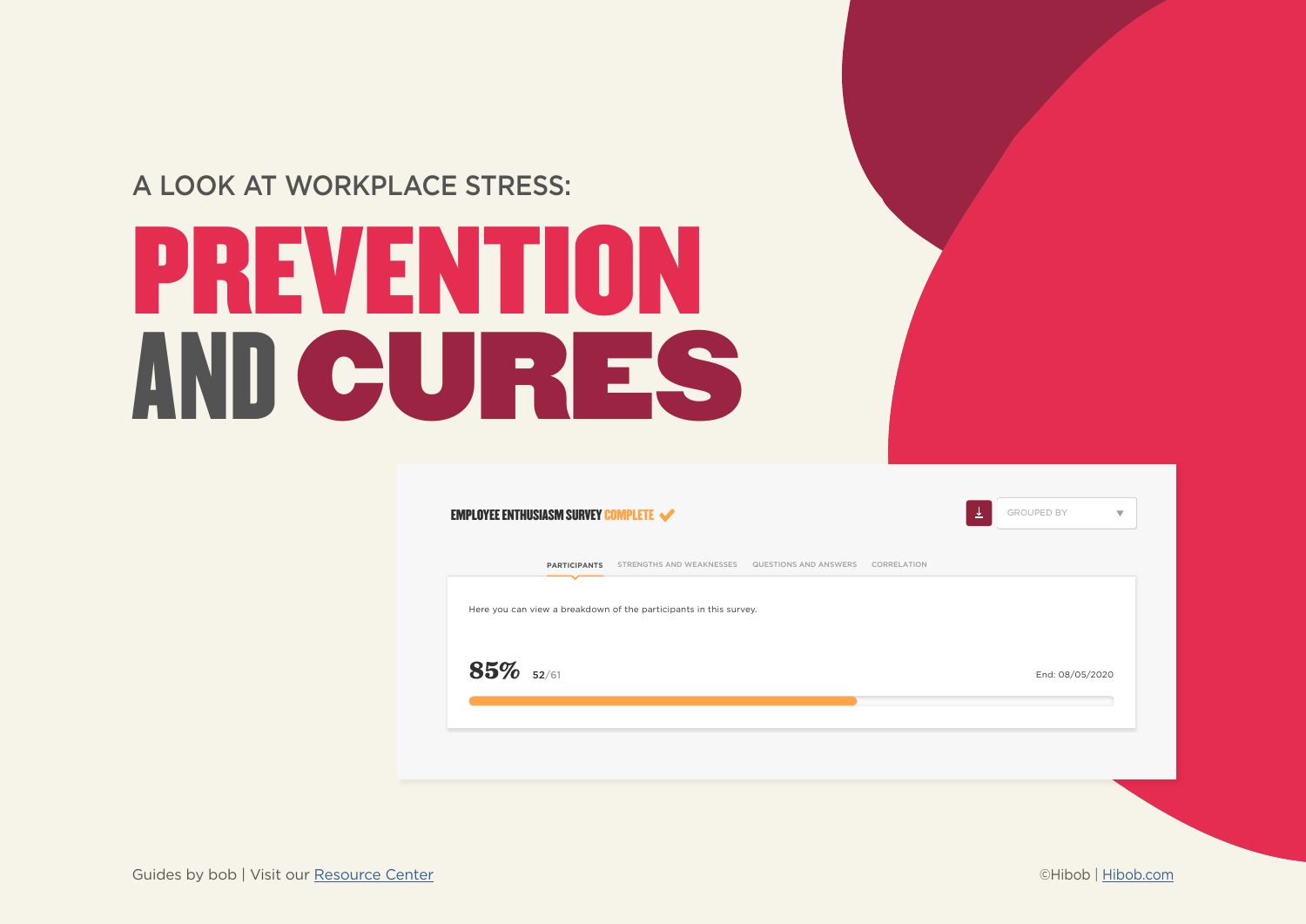### A LOOK AT WORKPLACE STRESS:

# PREVENTION CURES AND

|              | <b>PARTICIPANTS</b> | STRENGTHS AND WEAKNESSES                                          | QUESTIONS AND ANSWERS CORRELATION |  |  |
|--------------|---------------------|-------------------------------------------------------------------|-----------------------------------|--|--|
|              |                     | Here you can view a breakdown of the participants in this survey. |                                   |  |  |
| $85\%$ 52/61 |                     |                                                                   |                                   |  |  |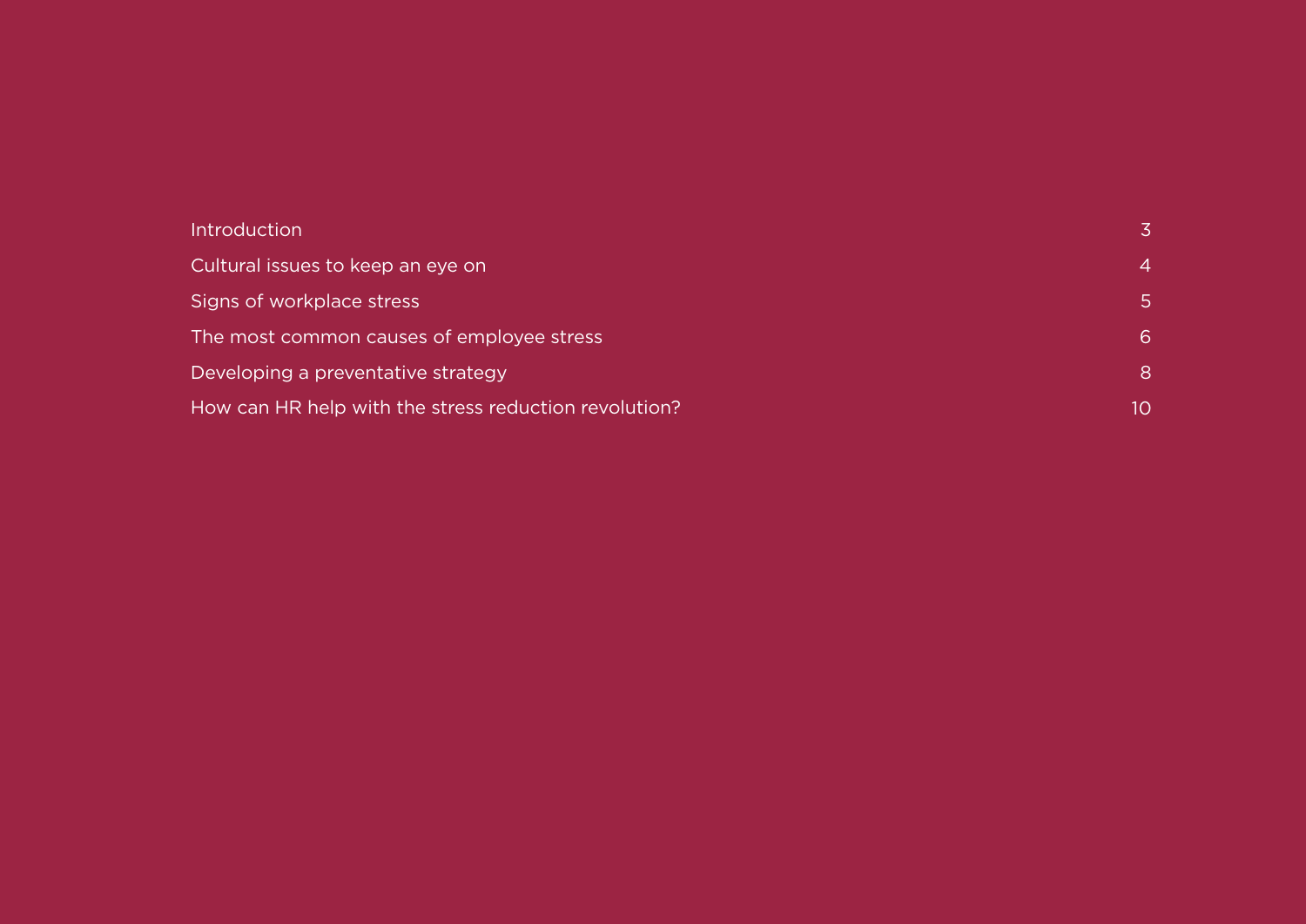| <b>Introduction</b>                                   |    |
|-------------------------------------------------------|----|
| Cultural issues to keep an eye on                     | 4  |
| Signs of workplace stress                             | 5  |
| The most common causes of employee stress             | 6  |
| Developing a preventative strategy                    | 8  |
| How can HR help with the stress reduction revolution? | 10 |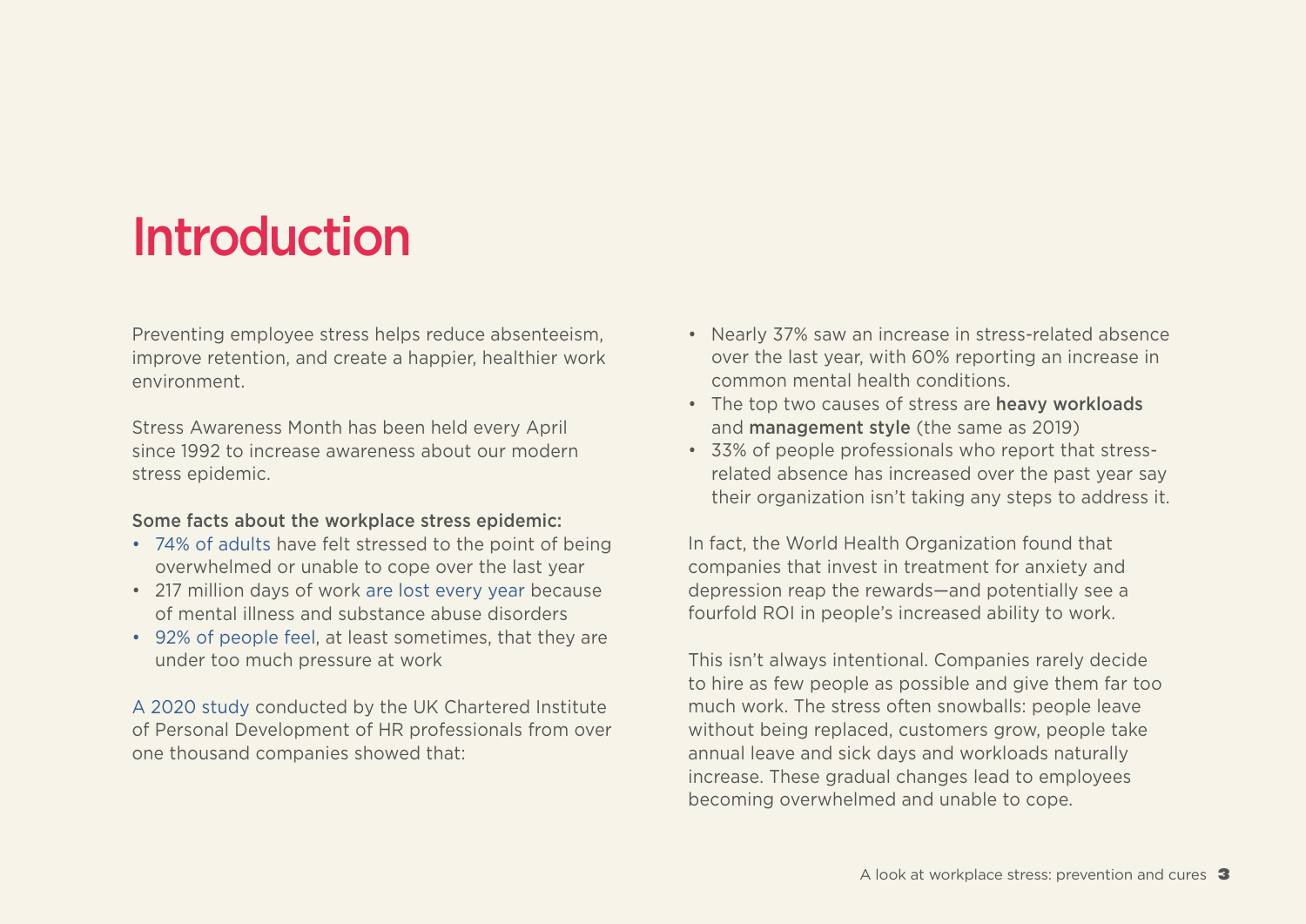### <span id="page-2-0"></span>Introduction

Preventing employee stress helps reduce absenteeism. improve retention, and create a happier, healthier work .environment

Stress Awareness Month has been held every April since 1992 to increase awareness about our modern stress epidemic.

#### Some facts about the workplace stress epidemic:

- 74% of adults have felt stressed to the point of being overwhelmed or unable to cope over the last year
- 217 million days of work are lost every year because of mental illness and substance abuse disorders
- 92% of people feel, at least sometimes, that they are under too much pressure at work

A 2020 study conducted by the UK Chartered Institute of Personal Development of HR professionals from over one thousand companies showed that:

- Nearly 37% saw an increase in stress-related absence over the last year, with 60% reporting an increase in common mental health conditions.
- The top two causes of stress are heavy workloads and **management style** (the same as 2019)
- related absence has increased over the past year say • 33% of people professionals who report that stresstheir organization isn't taking any steps to address it.

In fact, the World Health Organization found that companies that invest in treatment for anxiety and depression reap the rewards—and potentially see a fourfold ROI in people's increased ability to work.

This isn't always intentional. Companies rarely decide to hire as few people as possible and give them far too much work. The stress often snowballs: people leave without being replaced, customers grow, people take annual leave and sick days and workloads naturally increase. These gradual changes lead to employees becoming overwhelmed and unable to cope.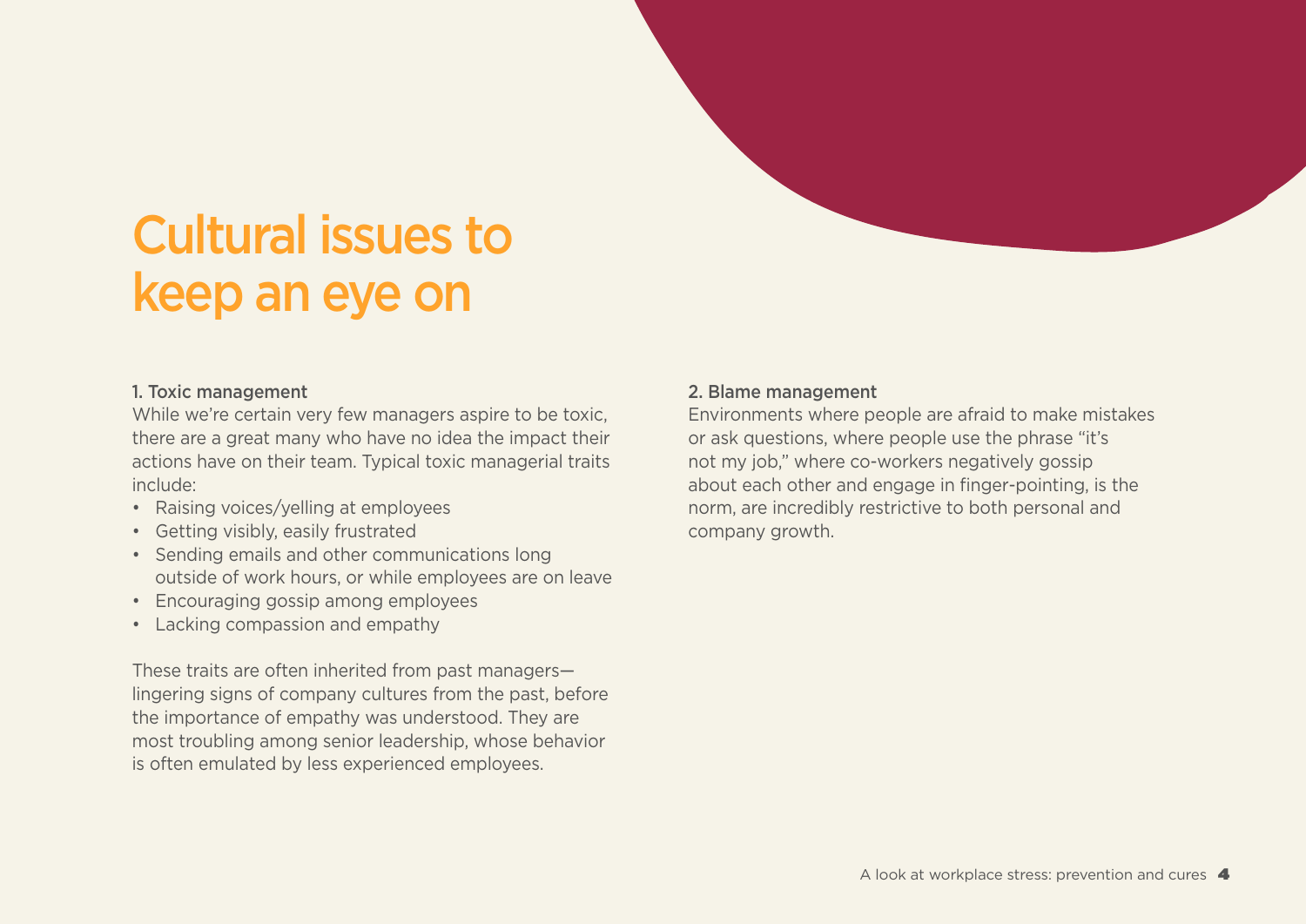## <span id="page-3-0"></span>**Cultural issues to** keep an eye on

### 1. Toxic management

While we're certain very few managers aspire to be toxic. there are a great many who have no idea the impact their actions have on their team. Typical toxic managerial traits include:

- Raising voices/velling at employees
- Getting visibly, easily frustrated
- Sending emails and other communications long outside of work hours, or while employees are on leave
- Encouraging gossip among employees
- Lacking compassion and empathy

These traits are often inherited from past managerslingering signs of company cultures from the past, before the importance of empathy was understood. They are most troubling among senior leadership, whose behavior is often emulated by less experienced employees.

### 2. Blame management

Environments where people are afraid to make mistakes or ask questions, where people use the phrase "it's not my job," where co-workers negatively gossip about each other and engage in finger-pointing, is the norm, are incredibly restrictive to both personal and company growth.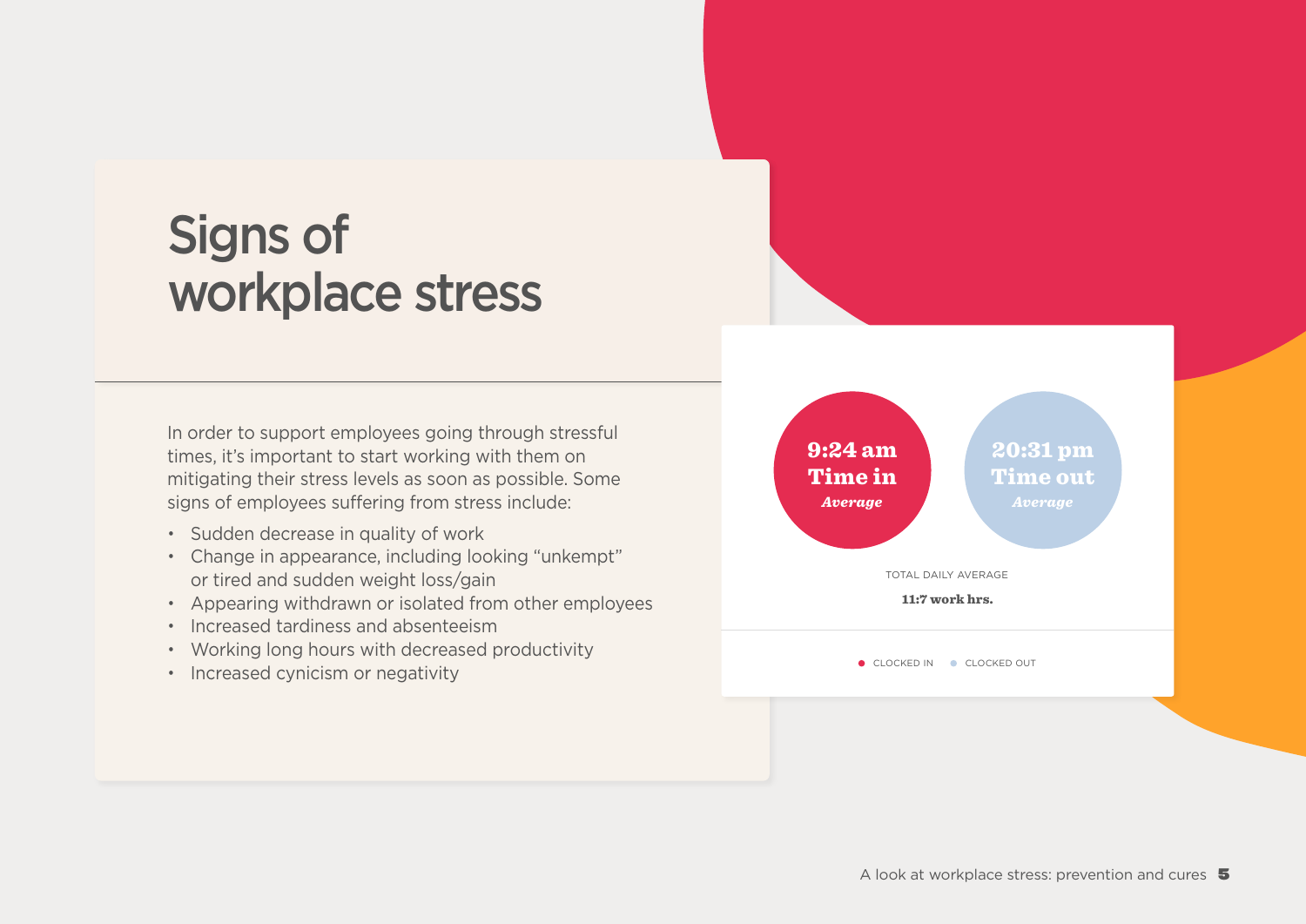### <span id="page-4-0"></span>**Signs of** workplace stress

In order to support employees going through stressful times, it's important to start working with them on mitigating their stress levels as soon as possible. Some signs of employees suffering from stress include:

- Sudden decrease in quality of work
- Change in appearance, including looking "unkempt" or tired and sudden weight loss/gain
- Appearing withdrawn or isolated from other employees
- Increased tardiness and absenteeism
- Working long hours with decreased productivity
- Increased cynicism or negativity

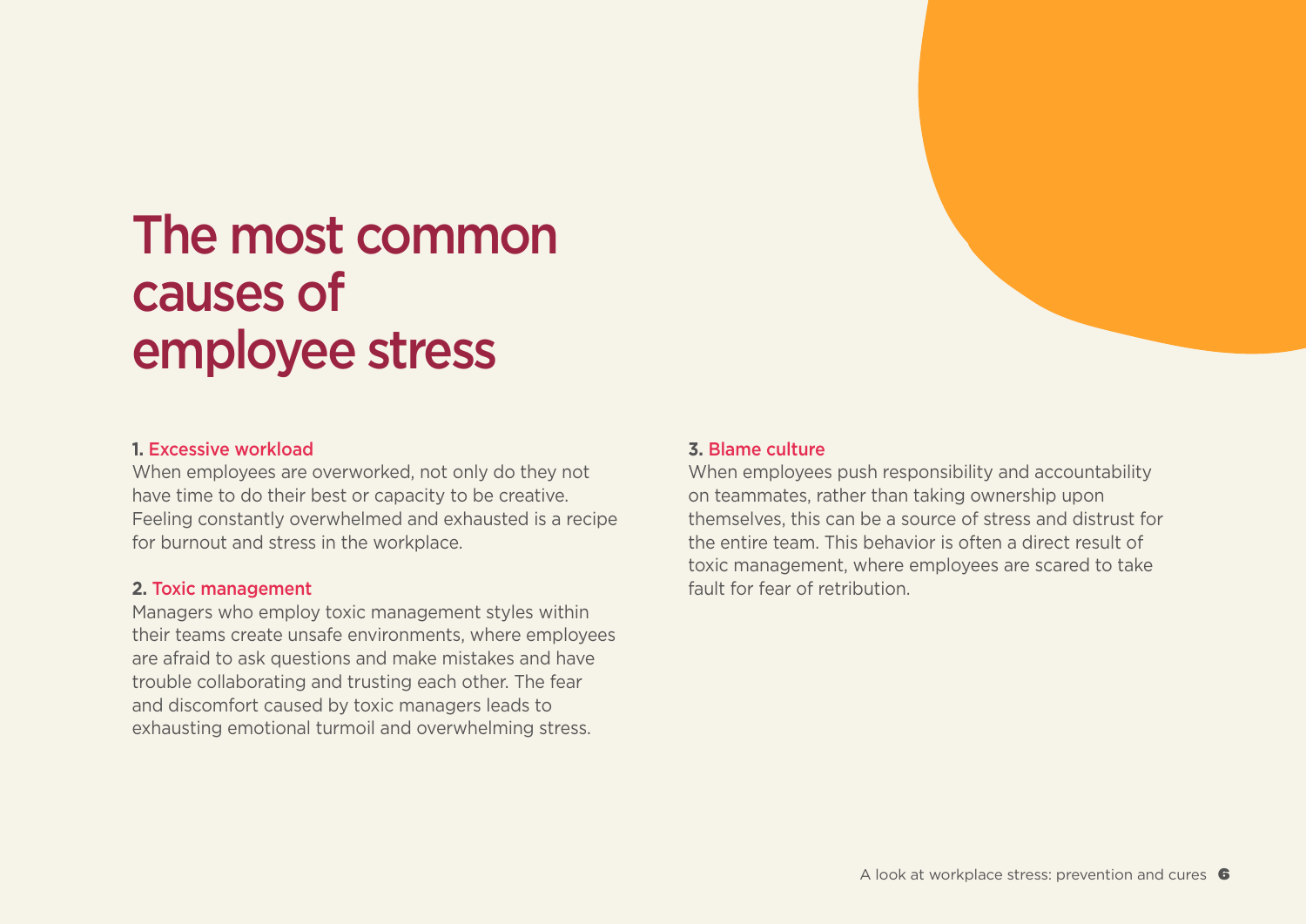### <span id="page-5-0"></span>The most common causes of employee stress

#### 1. Excessive workload

When employees are overworked, not only do they not have time to do their best or capacity to be creative. Feeling constantly overwhelmed and exhausted is a recipe for burnout and stress in the workplace.

#### **2. Toxic management**

Managers who employ toxic management styles within their teams create unsafe environments, where employees are afraid to ask questions and make mistakes and have trouble collaborating and trusting each other. The fear and discomfort caused by toxic managers leads to exhausting emotional turmoil and overwhelming stress.

#### **3. Blame culture**

When employees push responsibility and accountability on teammates, rather than taking ownership upon themselves, this can be a source of stress and distrust for the entire team. This behavior is often a direct result of toxic management, where employees are scared to take fault for fear of retribution.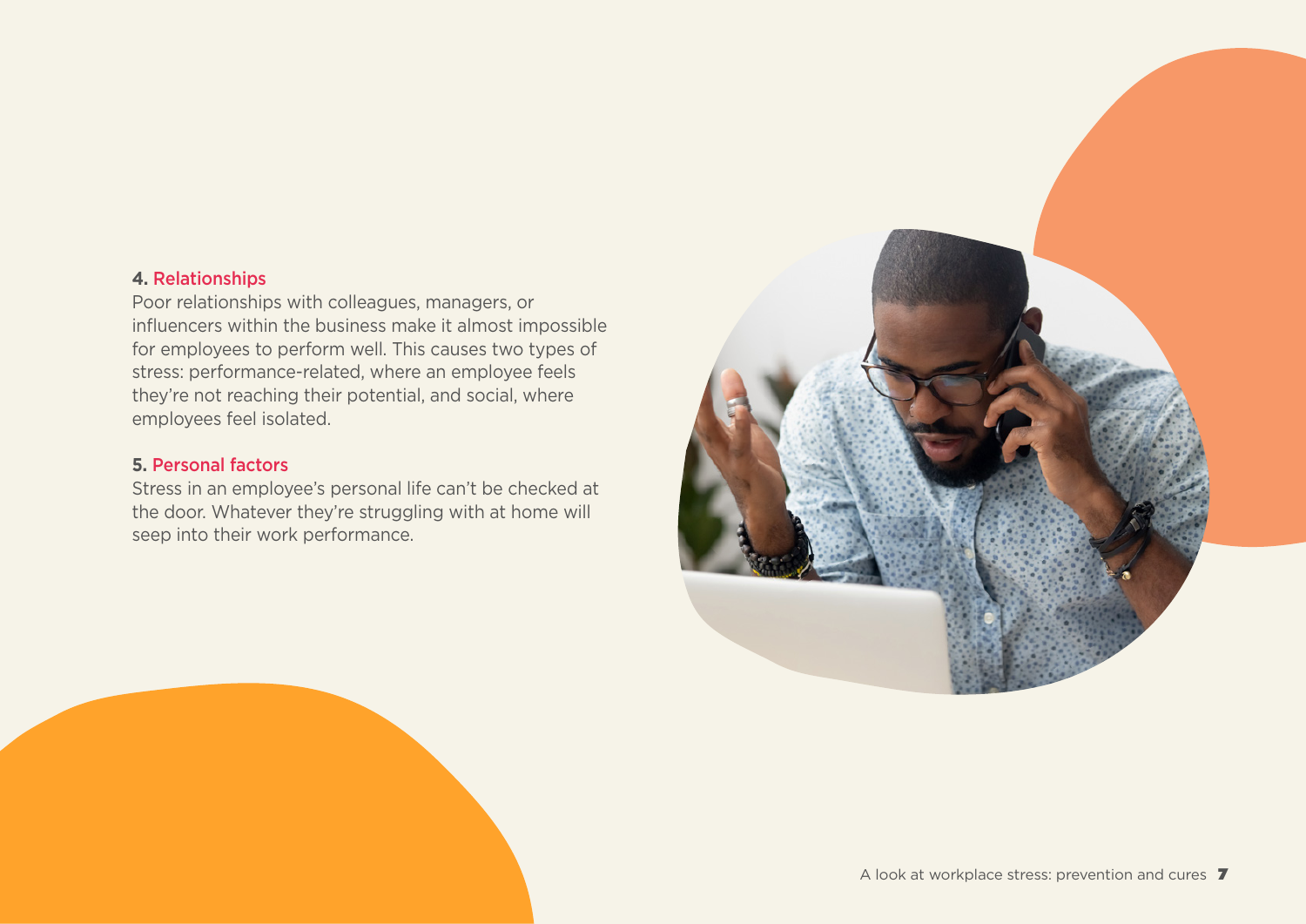#### **4. Relationships**

Poor relationships with colleagues, managers, or influencers within the business make it almost impossible for employees to perform well. This causes two types of stress: performance-related, where an employee feels they're not reaching their potential, and social, where employees feel isolated.

### **5. Personal factors**

Stress in an employee's personal life can't be checked at the door. Whatever they're struggling with at home will seep into their work performance.

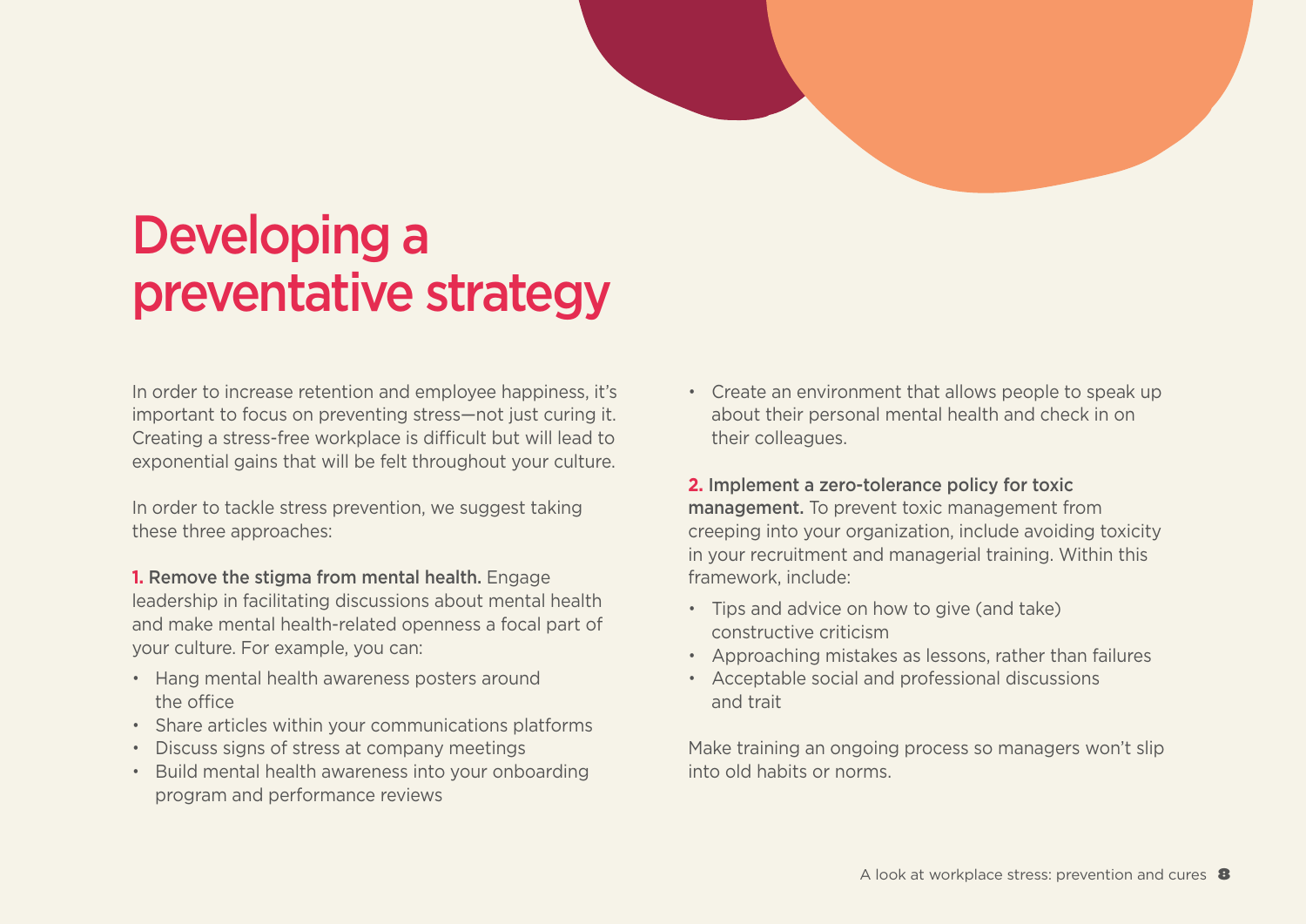### <span id="page-7-0"></span>Developing a preventative strategy

In order to increase retention and employee happiness, it's important to focus on preventing stress-not just curing it. Creating a stress-free workplace is difficult but will lead to exponential gains that will be felt throughout your culture.

In order to tackle stress prevention, we suggest taking these three approaches:

- **1. Remove the stigma from mental health. Engage** leadership in facilitating discussions about mental health and make mental health-related openness a focal part of vour culture. For example, you can:
- Hang mental health awareness posters around the office
- Share articles within your communications platforms
- Discuss signs of stress at company meetings
- Build mental health awareness into your onboarding program and performance reviews
- Create an environment that allows people to speak up about their personal mental health and check in on their colleagues.
- **2.** Implement a zero-tolerance policy for toxic management. To prevent toxic management from creeping into your organization, include avoiding toxicity in your recruitment and managerial training. Within this framework, include:
- Tips and advice on how to give (and take) constructive criticism
- Approaching mistakes as lessons, rather than failures
- Acceptable social and professional discussions and trait

Make training an ongoing process so managers won't slip into old habits or norms.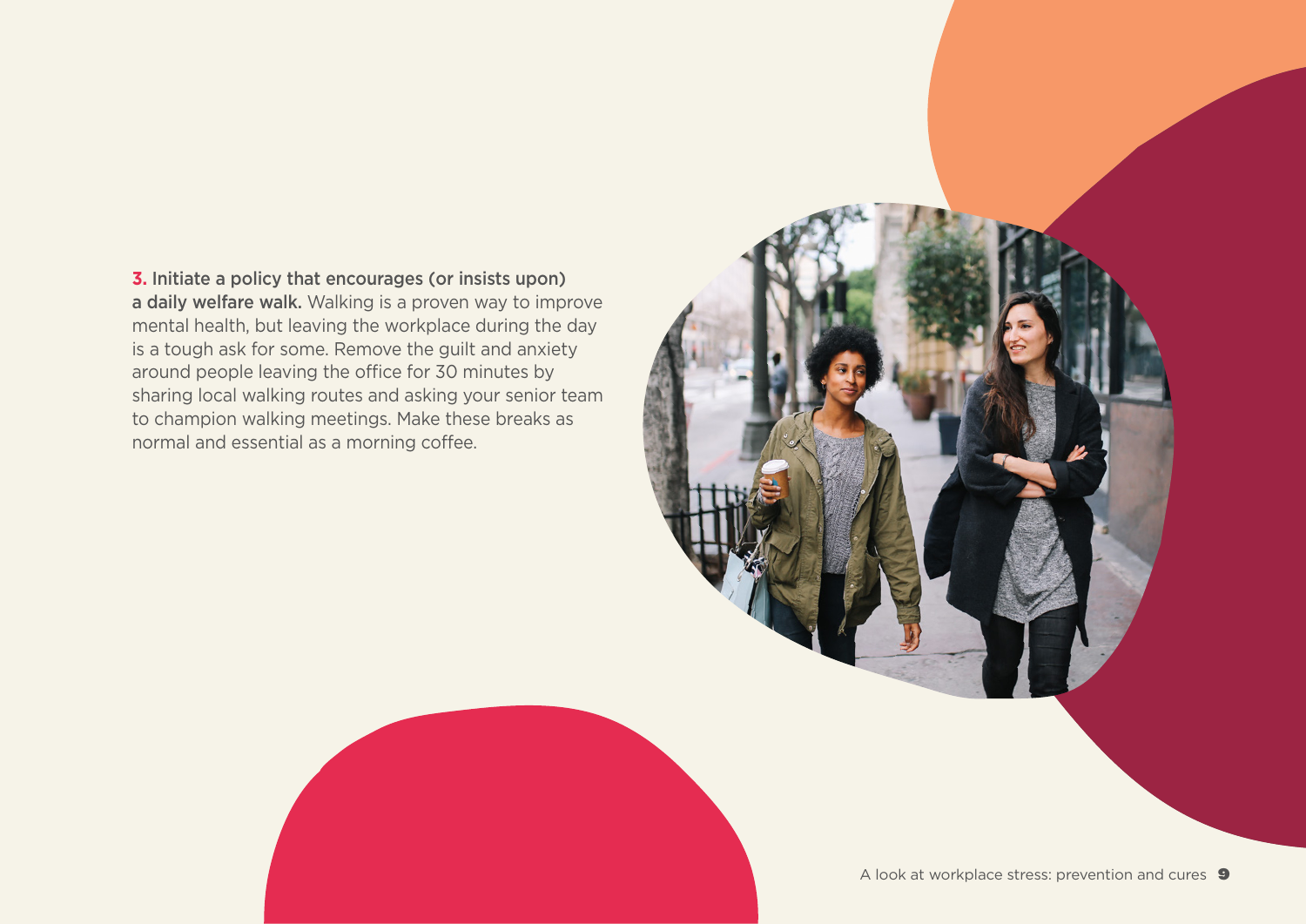**3.** Initiate a policy that encourages (or insists upon) a daily welfare walk. Walking is a proven way to improve mental health, but leaving the workplace during the day is a tough ask for some. Remove the guilt and anxiety around people leaving the office for 30 minutes by sharing local walking routes and asking your senior team to champion walking meetings. Make these breaks as normal and essential as a morning coffee.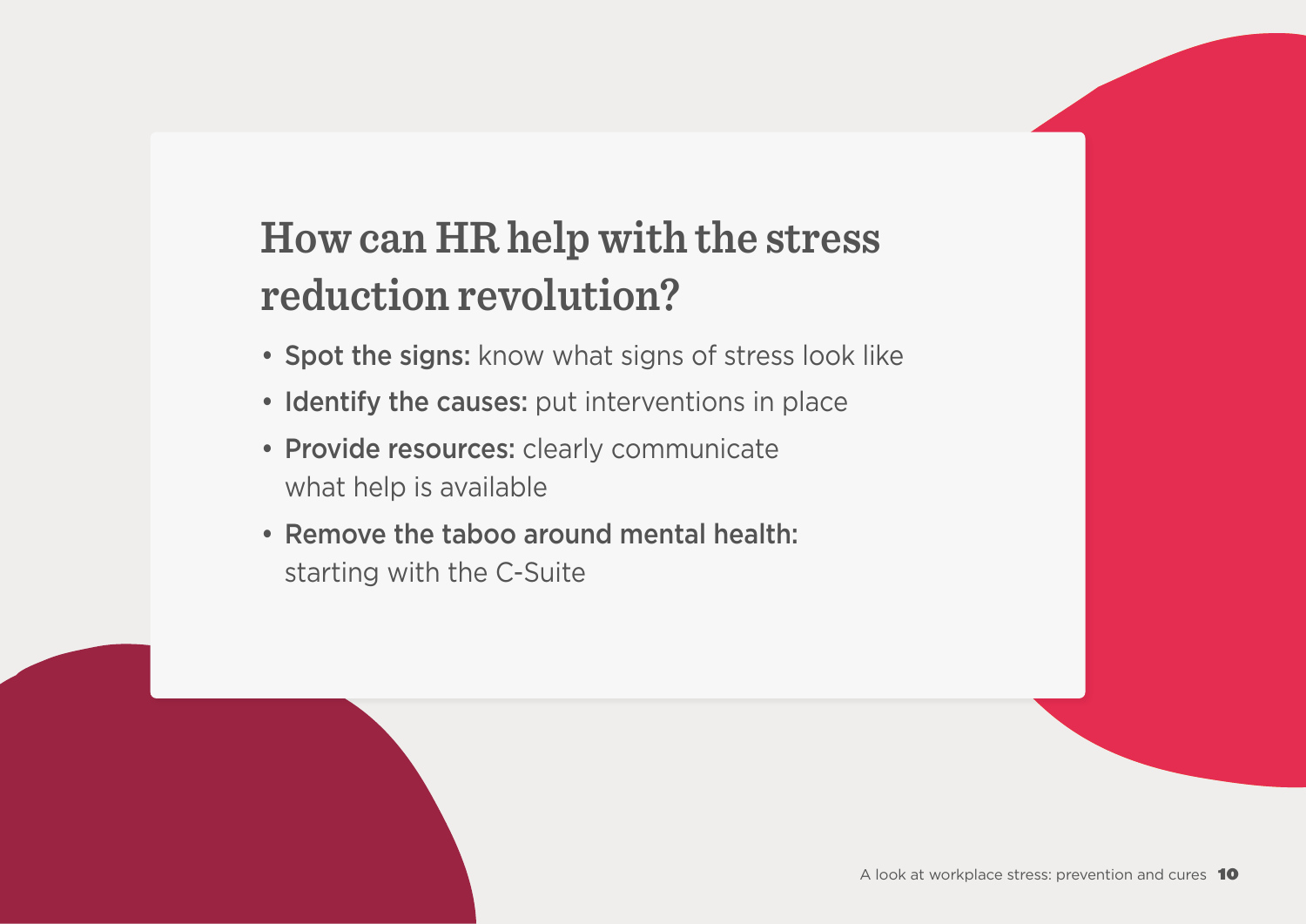### <span id="page-9-0"></span>**How can HR help with the stress** reduction revolution?

- Spot the signs: know what signs of stress look like
- Identify the causes: put interventions in place
- Provide resources: clearly communicate what help is available
- Remove the taboo around mental health: starting with the C-Suite